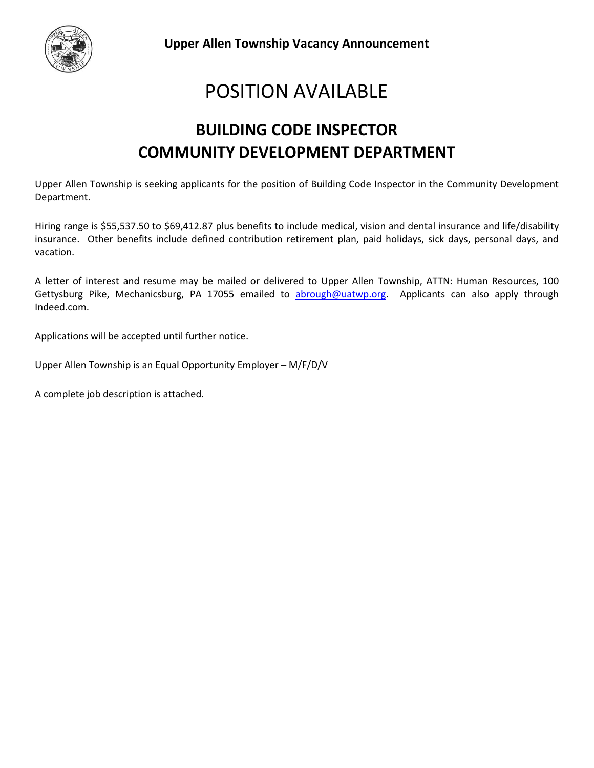

# POSITION AVAILABLE

## **BUILDING CODE INSPECTOR COMMUNITY DEVELOPMENT DEPARTMENT**

Upper Allen Township is seeking applicants for the position of Building Code Inspector in the Community Development Department.

Hiring range is \$55,537.50 to \$69,412.87 plus benefits to include medical, vision and dental insurance and life/disability insurance. Other benefits include defined contribution retirement plan, paid holidays, sick days, personal days, and vacation.

A letter of interest and resume may be mailed or delivered to Upper Allen Township, ATTN: Human Resources, 100 Gettysburg Pike, Mechanicsburg, PA 17055 emailed to [abrough@uatwp.org.](mailto:abrough@uatwp.org) Applicants can also apply through Indeed.com.

Applications will be accepted until further notice.

Upper Allen Township is an Equal Opportunity Employer – M/F/D/V

A complete job description is attached.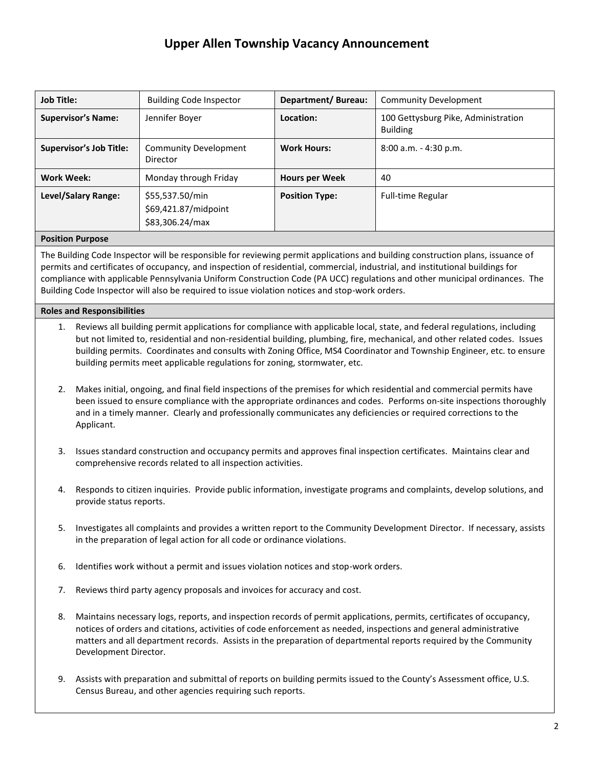| <b>Job Title:</b>              | <b>Building Code Inspector</b>                             | Department/Bureau:    | <b>Community Development</b>                           |
|--------------------------------|------------------------------------------------------------|-----------------------|--------------------------------------------------------|
| <b>Supervisor's Name:</b>      | Jennifer Boyer                                             | Location:             | 100 Gettysburg Pike, Administration<br><b>Building</b> |
| <b>Supervisor's Job Title:</b> | <b>Community Development</b><br>Director                   | <b>Work Hours:</b>    | $8:00$ a.m. $-4:30$ p.m.                               |
| <b>Work Week:</b>              | Monday through Friday                                      | <b>Hours per Week</b> | 40                                                     |
| Level/Salary Range:            | \$55,537.50/min<br>\$69,421.87/midpoint<br>\$83,306.24/max | <b>Position Type:</b> | <b>Full-time Regular</b>                               |

#### **Position Purpose**

The Building Code Inspector will be responsible for reviewing permit applications and building construction plans, issuance of permits and certificates of occupancy, and inspection of residential, commercial, industrial, and institutional buildings for compliance with applicable Pennsylvania Uniform Construction Code (PA UCC) regulations and other municipal ordinances. The Building Code Inspector will also be required to issue violation notices and stop-work orders.

#### **Roles and Responsibilities**

- 1. Reviews all building permit applications for compliance with applicable local, state, and federal regulations, including but not limited to, residential and non-residential building, plumbing, fire, mechanical, and other related codes. Issues building permits. Coordinates and consults with Zoning Office, MS4 Coordinator and Township Engineer, etc. to ensure building permits meet applicable regulations for zoning, stormwater, etc.
- 2. Makes initial, ongoing, and final field inspections of the premises for which residential and commercial permits have been issued to ensure compliance with the appropriate ordinances and codes. Performs on-site inspections thoroughly and in a timely manner. Clearly and professionally communicates any deficiencies or required corrections to the Applicant.
- 3. Issues standard construction and occupancy permits and approves final inspection certificates. Maintains clear and comprehensive records related to all inspection activities.
- 4. Responds to citizen inquiries. Provide public information, investigate programs and complaints, develop solutions, and provide status reports.
- 5. Investigates all complaints and provides a written report to the Community Development Director. If necessary, assists in the preparation of legal action for all code or ordinance violations.
- 6. Identifies work without a permit and issues violation notices and stop-work orders.
- 7. Reviews third party agency proposals and invoices for accuracy and cost.
- 8. Maintains necessary logs, reports, and inspection records of permit applications, permits, certificates of occupancy, notices of orders and citations, activities of code enforcement as needed, inspections and general administrative matters and all department records. Assists in the preparation of departmental reports required by the Community Development Director.
- 9. Assists with preparation and submittal of reports on building permits issued to the County's Assessment office, U.S. Census Bureau, and other agencies requiring such reports.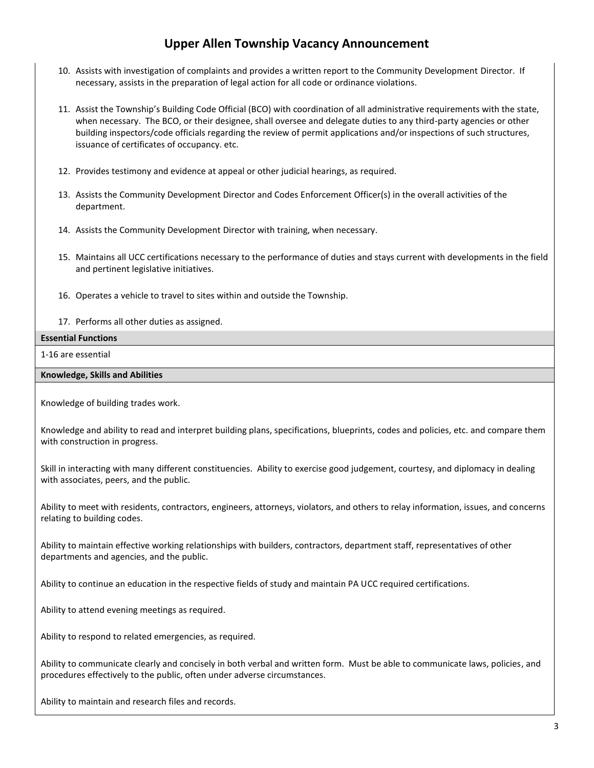- 10. Assists with investigation of complaints and provides a written report to the Community Development Director. If necessary, assists in the preparation of legal action for all code or ordinance violations.
- 11. Assist the Township's Building Code Official (BCO) with coordination of all administrative requirements with the state, when necessary. The BCO, or their designee, shall oversee and delegate duties to any third-party agencies or other building inspectors/code officials regarding the review of permit applications and/or inspections of such structures, issuance of certificates of occupancy. etc.
- 12. Provides testimony and evidence at appeal or other judicial hearings, as required.
- 13. Assists the Community Development Director and Codes Enforcement Officer(s) in the overall activities of the department.
- 14. Assists the Community Development Director with training, when necessary.
- 15. Maintains all UCC certifications necessary to the performance of duties and stays current with developments in the field and pertinent legislative initiatives.
- 16. Operates a vehicle to travel to sites within and outside the Township.
- 17. Performs all other duties as assigned.

#### **Essential Functions**

#### 1-16 are essential

#### **Knowledge, Skills and Abilities**

Knowledge of building trades work.

Knowledge and ability to read and interpret building plans, specifications, blueprints, codes and policies, etc. and compare them with construction in progress.

Skill in interacting with many different constituencies. Ability to exercise good judgement, courtesy, and diplomacy in dealing with associates, peers, and the public.

Ability to meet with residents, contractors, engineers, attorneys, violators, and others to relay information, issues, and concerns relating to building codes.

Ability to maintain effective working relationships with builders, contractors, department staff, representatives of other departments and agencies, and the public.

Ability to continue an education in the respective fields of study and maintain PA UCC required certifications.

Ability to attend evening meetings as required.

Ability to respond to related emergencies, as required.

Ability to communicate clearly and concisely in both verbal and written form. Must be able to communicate laws, policies, and procedures effectively to the public, often under adverse circumstances.

Ability to maintain and research files and records.